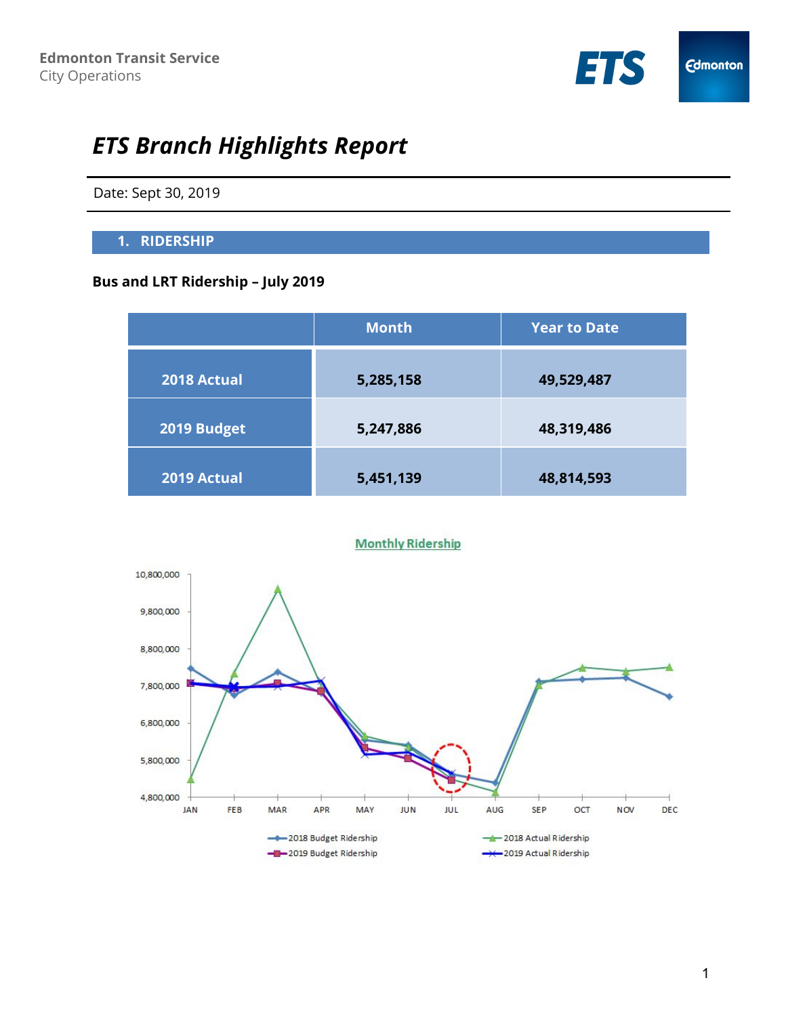

# *ETS Branch Highlights Report*

Date: Sept 30, 2019

#### **1. RIDERSHIP**

# **Bus and LRT Ridership – July 2019**

|             | <b>Month</b> | <b>Year to Date</b> |
|-------------|--------------|---------------------|
| 2018 Actual | 5,285,158    | 49,529,487          |
| 2019 Budget | 5,247,886    | 48,319,486          |
| 2019 Actual | 5,451,139    | 48,814,593          |

#### **Monthly Ridership**

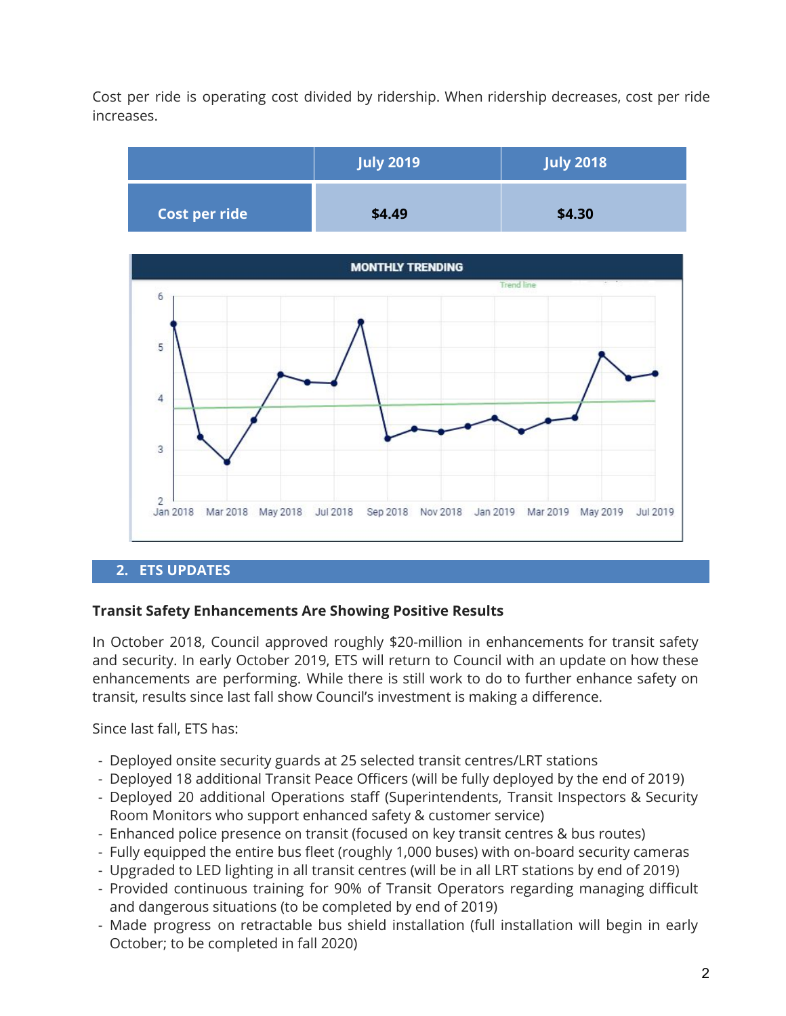Cost per ride is operating cost divided by ridership. When ridership decreases, cost per ride increases.





#### **2. ETS UPDATES**

#### **Transit Safety Enhancements Are Showing Positive Results**

In October 2018, Council approved roughly \$20-million in enhancements for transit safety and security. In early October 2019, ETS will return to Council with an update on how these enhancements are performing. While there is still work to do to further enhance safety on transit, results since last fall show Council's investment is making a difference.

Since last fall, ETS has:

- Deployed onsite security guards at 25 selected transit centres/LRT stations
- Deployed 18 additional Transit Peace Officers (will be fully deployed by the end of 2019)
- Deployed 20 additional Operations staff (Superintendents, Transit Inspectors & Security Room Monitors who support enhanced safety & customer service)
- Enhanced police presence on transit (focused on key transit centres & bus routes)
- Fully equipped the entire bus fleet (roughly 1,000 buses) with on-board security cameras
- Upgraded to LED lighting in all transit centres (will be in all LRT stations by end of 2019)
- Provided continuous training for 90% of Transit Operators regarding managing difficult and dangerous situations (to be completed by end of 2019)
- Made progress on retractable bus shield installation (full installation will begin in early October; to be completed in fall 2020)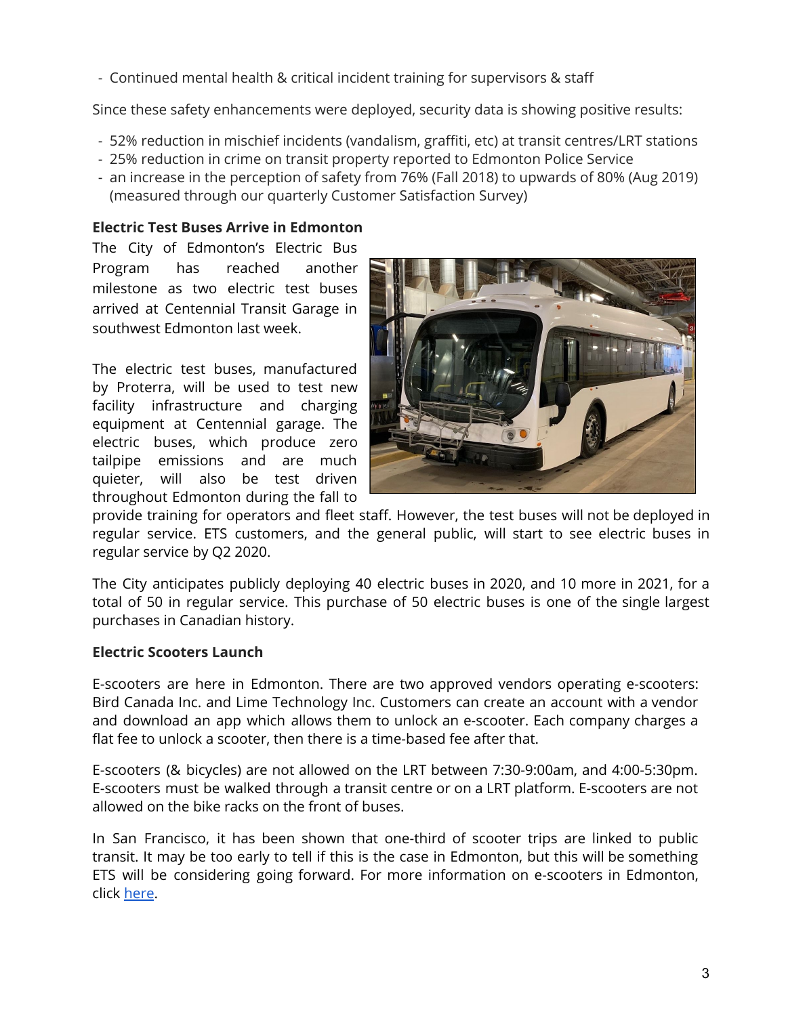- Continued mental health & critical incident training for supervisors & staff

Since these safety enhancements were deployed, security data is showing positive results:

- 52% reduction in mischief incidents (vandalism, graffiti, etc) at transit centres/LRT stations
- 25% reduction in crime on transit property reported to Edmonton Police Service
- an increase in the perception of safety from 76% (Fall 2018) to upwards of 80% (Aug 2019) (measured through our quarterly Customer Satisfaction Survey)

## **Electric Test Buses Arrive in Edmonton**

The City of Edmonton's Electric Bus Program has reached another milestone as two electric test buses arrived at Centennial Transit Garage in southwest Edmonton last week.

The electric test buses, manufactured by Proterra, will be used to test new facility infrastructure and charging equipment at Centennial garage. The electric buses, which produce zero tailpipe emissions and are much quieter, will also be test driven throughout Edmonton during the fall to



provide training for operators and fleet staff. However, the test buses will not be deployed in regular service. ETS customers, and the general public, will start to see electric buses in regular service by Q2 2020.

The City anticipates publicly deploying 40 electric buses in 2020, and 10 more in 2021, for a total of 50 in regular service. This purchase of 50 electric buses is one of the single largest purchases in Canadian history.

#### **Electric Scooters Launch**

E-scooters are here in Edmonton. There are two approved vendors operating e-scooters: Bird Canada Inc. and Lime Technology Inc. Customers can create an account with a vendor and download an app which allows them to unlock an e-scooter. Each company charges a flat fee to unlock a scooter, then there is a time-based fee after that.

E-scooters (& bicycles) are not allowed on the LRT between 7:30-9:00am, and 4:00-5:30pm. E-scooters must be walked through a transit centre or on a LRT platform. E-scooters are not allowed on the bike racks on the front of buses.

In San Francisco, it has been shown that one-third of scooter trips are linked to public transit. It may be too early to tell if this is the case in Edmonton, but this will be something ETS will be considering going forward. For more information on e-scooters in Edmonton, click [here](https://www.edmonton.ca/transportation/cycling_walking/bike-electric-scooter-sharing.aspx).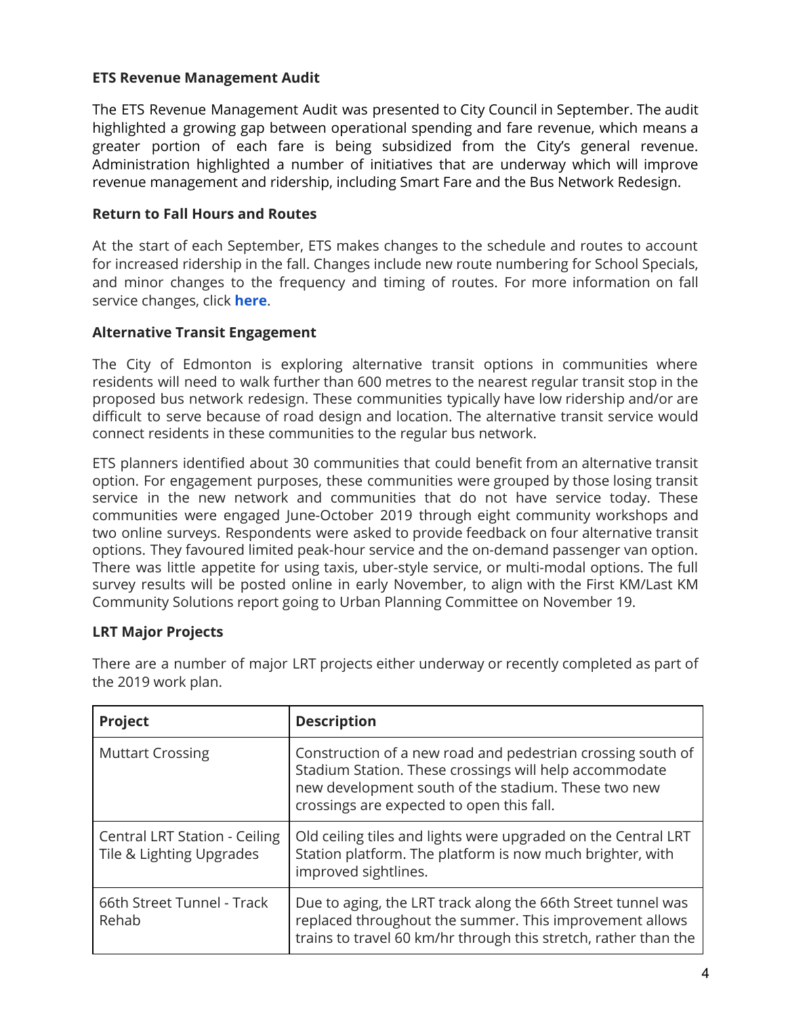#### **ETS Revenue Management Audit**

The ETS Revenue Management Audit was presented to City Council in September. The audit highlighted a growing gap between operational spending and fare revenue, which means a greater portion of each fare is being subsidized from the City's general revenue. Administration highlighted a number of initiatives that are underway which will improve revenue management and ridership, including Smart Fare and the Bus Network Redesign.

#### **Return to Fall Hours and Routes**

At the start of each September, ETS makes changes to the schedule and routes to account for increased ridership in the fall. Changes include new route numbering for School Specials, and minor changes to the frequency and timing of routes. For more information on fall service changes, click **[here](https://www.edmonton.ca/ets/maps-routes-schedules-service.aspx)**.

## **Alternative Transit Engagement**

The City of Edmonton is exploring alternative transit options in communities where residents will need to walk further than 600 metres to the nearest regular transit stop in the proposed bus network redesign. These communities typically have low ridership and/or are difficult to serve because of road design and location. The alternative transit service would connect residents in these communities to the regular bus network.

ETS planners identified about 30 communities that could benefit from an alternative transit option. For engagement purposes, these communities were grouped by those losing transit service in the new network and communities that do not have service today. These communities were engaged June-October 2019 through eight community workshops and two online surveys. Respondents were asked to provide feedback on four alternative transit options. They favoured limited peak-hour service and the on-demand passenger van option. There was little appetite for using taxis, uber-style service, or multi-modal options. The full survey results will be posted online in early November, to align with the First KM/Last KM Community Solutions report going to Urban Planning Committee on November 19.

#### **LRT Major Projects**

| Project                                                          | <b>Description</b>                                                                                                                                                                                                        |
|------------------------------------------------------------------|---------------------------------------------------------------------------------------------------------------------------------------------------------------------------------------------------------------------------|
| <b>Muttart Crossing</b>                                          | Construction of a new road and pedestrian crossing south of<br>Stadium Station. These crossings will help accommodate<br>new development south of the stadium. These two new<br>crossings are expected to open this fall. |
| <b>Central LRT Station - Ceiling</b><br>Tile & Lighting Upgrades | Old ceiling tiles and lights were upgraded on the Central LRT<br>Station platform. The platform is now much brighter, with<br>improved sightlines.                                                                        |
| 66th Street Tunnel - Track<br>Rehab                              | Due to aging, the LRT track along the 66th Street tunnel was<br>replaced throughout the summer. This improvement allows<br>trains to travel 60 km/hr through this stretch, rather than the                                |

There are a number of major LRT projects either underway or recently completed as part of the 2019 work plan.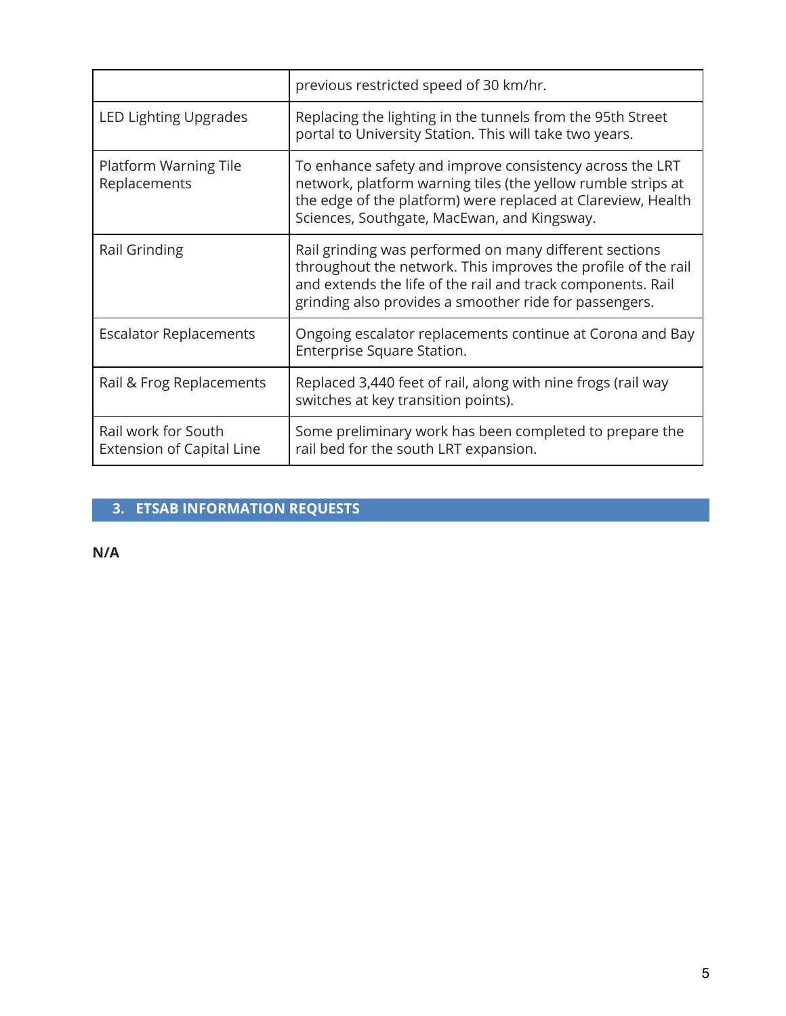|                                                  | previous restricted speed of 30 km/hr.                                                                                                                                                                                                           |
|--------------------------------------------------|--------------------------------------------------------------------------------------------------------------------------------------------------------------------------------------------------------------------------------------------------|
| LED Lighting Upgrades                            | Replacing the lighting in the tunnels from the 95th Street<br>portal to University Station. This will take two years.                                                                                                                            |
| Platform Warning Tile<br>Replacements            | To enhance safety and improve consistency across the LRT<br>network, platform warning tiles (the yellow rumble strips at<br>the edge of the platform) were replaced at Clareview, Health<br>Sciences, Southgate, MacEwan, and Kingsway.          |
| Rail Grinding                                    | Rail grinding was performed on many different sections<br>throughout the network. This improves the profile of the rail<br>and extends the life of the rail and track components. Rail<br>grinding also provides a smoother ride for passengers. |
| <b>Escalator Replacements</b>                    | Ongoing escalator replacements continue at Corona and Bay<br>Enterprise Square Station.                                                                                                                                                          |
| Rail & Frog Replacements                         | Replaced 3,440 feet of rail, along with nine frogs (rail way<br>switches at key transition points).                                                                                                                                              |
| Rail work for South<br>Extension of Capital Line | Some preliminary work has been completed to prepare the<br>rail bed for the south LRT expansion.                                                                                                                                                 |

# **3. ETSAB INFORMATION REQUESTS**

**N/A**